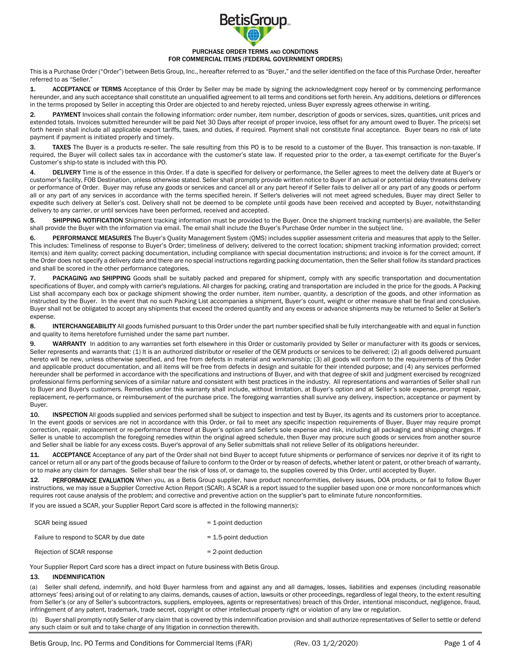

#### PURCHASE ORDER TERMS AND CONDITIONS FOR COMMERCIAL ITEMS (FEDERAL GOVERNMENT ORDERS)

This is a Purchase Order ("Order") between Betis Group, Inc., hereafter referred to as "Buyer," and the seller identified on the face of this Purchase Order, hereafter referred to as "Seller."

1. ACCEPTANCE of TERMS Acceptance of this Order by Seller may be made by signing the acknowledgment copy hereof or by commencing performance hereunder, and any such acceptance shall constitute an unqualified agreement to all terms and conditions set forth herein. Any additions, deletions or differences in the terms proposed by Seller in accepting this Order are objected to and hereby rejected, unless Buyer expressly agrees otherwise in writing.

2. PAYMENT Invoices shall contain the following information: order number, item number, description of goods or services, sizes, quantities, unit prices and extended totals. Invoices submitted hereunder will be paid Net 30 Days after receipt of proper invoice, less offset for any amount owed to Buyer. The price(s) set forth herein shall include all applicable export tariffs, taxes, and duties, if required. Payment shall not constitute final acceptance. Buyer bears no risk of late payment if payment is initiated properly and timely.

3. TAXES The Buyer is a products re-seller. The sale resulting from this PO is to be resold to a customer of the Buyer. This transaction is non-taxable. If required, the Buyer will collect sales tax in accordance with the customer's state law. If requested prior to the order, a tax-exempt certificate for the Buyer's Customer's ship-to state is included with this PO.

4. DELIVERY Time is of the essence in this Order. If a date is specified for delivery or performance, the Seller agrees to meet the delivery date at Buyer's or customer's facility, FOB Destination, unless otherwise stated. Seller shall promptly provide written notice to Buyer if an actual or potential delay threatens delivery or performance of Order. Buyer may refuse any goods or services and cancel all or any part hereof if Seller fails to deliver all or any part of any goods or perform all or any part of any services in accordance with the terms specified herein. If Seller's deliveries will not meet agreed schedules, Buyer may direct Seller to expedite such delivery at Seller's cost. Delivery shall not be deemed to be complete until goods have been received and accepted by Buyer, notwithstanding delivery to any carrier, or until services have been performed, received and accepted.

5. SHIPPING NOTIFICATION Shipment tracking information must be provided to the Buyer. Once the shipment tracking number(s) are available, the Seller shall provide the Buyer with the information via email. The email shall include the Buyer's Purchase Order number in the subject line.

6. PERFORMANCE MEASURES The Buyer's Quality Management System (QMS) includes supplier assessment criteria and measures that apply to the Seller. This includes: Timeliness of response to Buyer's Order; timeliness of delivery; delivered to the correct location; shipment tracking information provided; correct item(s) and item quality; correct packing documentation, including compliance with special documentation instructions; and invoice is for the correct amount. If the Order does not specify a delivery date and there are no special instructions regarding packing documentation, then the Seller shall follow its standard practices and shall be scored in the other performance categories.

7. PACKAGING AND SHIPPING Goods shall be suitably packed and prepared for shipment, comply with any specific transportation and documentation specifications of Buyer, and comply with carrier's regulations. All charges for packing, crating and transportation are included in the price for the goods. A Packing List shall accompany each box or package shipment showing the order number, item number, quantity, a description of the goods, and other information as instructed by the Buyer. In the event that no such Packing List accompanies a shipment, Buyer's count, weight or other measure shall be final and conclusive. Buyer shall not be obligated to accept any shipments that exceed the ordered quantity and any excess or advance shipments may be returned to Seller at Seller's expense.

8. INTERCHANGEABILITY All goods furnished pursuant to this Order under the part number specified shall be fully interchangeable with and equal in function and quality to items heretofore furnished under the same part number.

9. WARRANTY In addition to any warranties set forth elsewhere in this Order or customarily provided by Seller or manufacturer with its goods or services, Seller represents and warrants that: (1) It is an authorized distributor or reseller of the OEM products or services to be delivered; (2) all goods delivered pursuant hereto will be new, unless otherwise specified, and free from defects in material and workmanship; (3) all goods will conform to the requirements of this Order and applicable product documentation, and all items will be free from defects in design and suitable for their intended purpose; and (4) any services performed hereunder shall be performed in accordance with the specifications and instructions of Buyer, and with that degree of skill and judgment exercised by recognized professional firms performing services of a similar nature and consistent with best practices in the industry. All representations and warranties of Seller shall run to Buyer and Buyer's customers. Remedies under this warranty shall include, without limitation, at Buyer's option and at Seller's sole expense, prompt repair, replacement, re-performance, or reimbursement of the purchase price. The foregoing warranties shall survive any delivery, inspection, acceptance or payment by Buyer.

10. INSPECTION All goods supplied and services performed shall be subject to inspection and test by Buyer, its agents and its customers prior to acceptance. In the event goods or services are not in accordance with this Order, or fail to meet any specific inspection requirements of Buyer, Buyer may require prompt correction, repair, replacement or re-performance thereof at Buyer's option and Seller's sole expense and risk, including all packaging and shipping charges. If Seller is unable to accomplish the foregoing remedies within the original agreed schedule, then Buyer may procure such goods or services from another source and Seller shall be liable for any excess costs. Buyer's approval of any Seller submittals shall not relieve Seller of its obligations hereunder.

11. ACCEPTANCE Acceptance of any part of the Order shall not bind Buyer to accept future shipments or performance of services nor deprive it of its right to cancel or return all or any part of the goods because of failure to conform to the Order or by reason of defects, whether latent or patent, or other breach of warranty, or to make any claim for damages. Seller shall bear the risk of loss of, or damage to, the supplies covered by this Order, until accepted by Buyer.

12. PERFORMANCE EVALUATION When you, as a Betis Group supplier, have product nonconformities, delivery issues, DOA products, or fail to follow Buyer instructions, we may issue a Supplier Corrective Action Report (SCAR). A SCAR is a report issued to the supplier based upon one or more nonconformances which requires root cause analysis of the problem; and corrective and preventive action on the supplier's part to eliminate future nonconformities.

If you are issued a SCAR, your Supplier Report Card score is affected in the following manner(s):

| SCAR being issued                      | $=$ 1-point deduction    |
|----------------------------------------|--------------------------|
| Failure to respond to SCAR by due date | $= 1.5$ -point deduction |
| Rejection of SCAR response             | $= 2$ -point deduction   |

Your Supplier Report Card score has a direct impact on future business with Betis Group.

# 13. INDEMNIFICATION

(a) Seller shall defend, indemnify, and hold Buyer harmless from and against any and all damages, losses, liabilities and expenses (including reasonable attorneys' fees) arising out of or relating to any claims, demands, causes of action, lawsuits or other proceedings, regardless of legal theory, to the extent resulting from Seller's (or any of Seller's subcontractors, suppliers, employees, agents or representatives) breach of this Order, intentional misconduct, negligence, fraud, infringement of any patent, trademark, trade secret, copyright or other intellectual property right or violation of any law or regulation.

Buyer shall promptly notify Seller of any claim that is covered by this indemnification provision and shall authorize representatives of Seller to settle or defend any such claim or suit and to take charge of any litigation in connection therewith.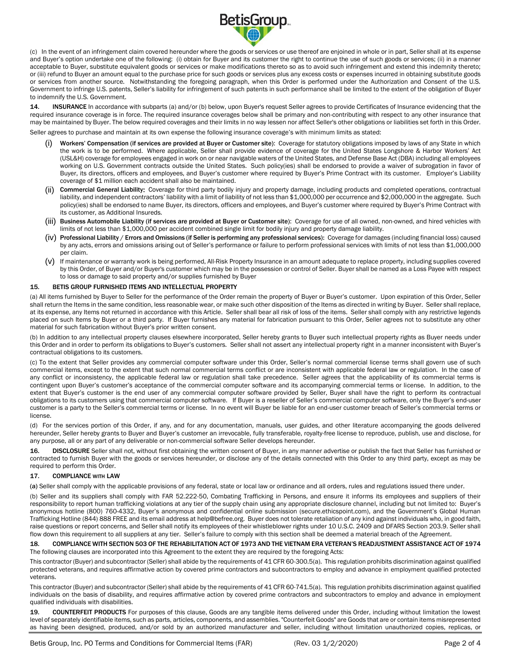

(c) In the event of an infringement claim covered hereunder where the goods or services or use thereof are enjoined in whole or in part, Seller shall at its expense and Buyer's option undertake one of the following: (i) obtain for Buyer and its customer the right to continue the use of such goods or services; (ii) in a manner acceptable to Buyer, substitute equivalent goods or services or make modifications thereto so as to avoid such infringement and extend this indemnity thereto; or (iii) refund to Buyer an amount equal to the purchase price for such goods or services plus any excess costs or expenses incurred in obtaining substitute goods or services from another source. Notwithstanding the foregoing paragraph, when this Order is performed under the Authorization and Consent of the U.S. Government to infringe U.S. patents, Seller's liability for infringement of such patents in such performance shall be limited to the extent of the obligation of Buyer to indemnify the U.S. Government.

14. INSURANCE In accordance with subparts (a) and/or (b) below, upon Buyer's request Seller agrees to provide Certificates of Insurance evidencing that the required insurance coverage is in force. The required insurance coverages below shall be primary and non-contributing with respect to any other insurance that may be maintained by Buyer. The below required coverages and their limits in no way lessen nor affect Seller's other obligations or liabilities set forth in this Order.

Seller agrees to purchase and maintain at its own expense the following insurance coverage's with minimum limits as stated:

- Workers' Compensation (if services are provided at Buyer or Customer site): Coverage for statutory obligations imposed by laws of any State in which the work is to be performed. Where applicable, Seller shall provide evidence of coverage for the United States Longshore & Harbor Workers' Act (USL&H) coverage for employees engaged in work on or near navigable waters of the United States, and Defense Base Act (DBA) including all employees working on U.S. Government contracts outside the United States. Such policy(ies) shall be endorsed to provide a waiver of subrogation in favor of Buyer, its directors, officers and employees, and Buyer's customer where required by Buyer's Prime Contract with its customer. Employer's Liability coverage of \$1 million each accident shall also be maintained.
- Commercial General Liability: Coverage for third party bodily injury and property damage, including products and completed operations, contractual liability, and independent contractors' liability with a limit of liability of not less than \$1,000,000 per occurrence and \$2,000,000 in the aggregate. Such policy(ies) shall be endorsed to name Buyer, its directors, officers and employees, and Buyer's customer where required by Buyer's Prime Contract with its customer, as Additional Insureds.
- (iii) Business Automobile Liability (if services are provided at Buyer or Customer site): Coverage for use of all owned, non-owned, and hired vehicles with limits of not less than \$1,000,000 per accident combined single limit for bodily injury and property damage liability.
- (iv) Professional Liability / Errors and Omissions (if Seller is performing any professional services): Coverage for damages (including financial loss) caused by any acts, errors and omissions arising out of Seller's performance or failure to perform professional services with limits of not less than \$1,000,000 per claim.
- (v) If maintenance or warranty work is being performed, All-Risk Property Insurance in an amount adequate to replace property, including supplies covered by this Order, of Buyer and/or Buyer's customer which may be in the possession or control of Seller. Buyer shall be named as a Loss Payee with respect to loss or damage to said property and/or supplies furnished by Buyer

## 15. BETIS GROUP FURNISHED ITEMS AND INTELLECTUAL PROPERTY

(a) All items furnished by Buyer to Seller for the performance of the Order remain the property of Buyer or Buyer's customer. Upon expiration of this Order, Seller shall return the Items in the same condition, less reasonable wear, or make such other disposition of the Items as directed in writing by Buyer. Seller shall replace, at its expense, any Items not returned in accordance with this Article. Seller shall bear all risk of loss of the items. Seller shall comply with any restrictive legends placed on such Items by Buyer or a third party. If Buyer furnishes any material for fabrication pursuant to this Order, Seller agrees not to substitute any other material for such fabrication without Buyer's prior written consent.

(b) In addition to any intellectual property clauses elsewhere incorporated, Seller hereby grants to Buyer such intellectual property rights as Buyer needs under this Order and in order to perform its obligations to Buyer's customers. Seller shall not assert any intellectual property right in a manner inconsistent with Buyer's contractual obligations to its customers.

(c) To the extent that Seller provides any commercial computer software under this Order, Seller's normal commercial license terms shall govern use of such commercial items, except to the extent that such normal commercial terms conflict or are inconsistent with applicable federal law or regulation. In the case of any conflict or inconsistency, the applicable federal law or regulation shall take precedence. Seller agrees that the applicability of its commercial terms is contingent upon Buyer's customer's acceptance of the commercial computer software and its accompanying commercial terms or license. In addition, to the extent that Buyer's customer is the end user of any commercial computer software provided by Seller, Buyer shall have the right to perform its contractual obligations to its customers using that commercial computer software. If Buyer is a reseller of Seller's commercial computer software, only the Buyer's end-user customer is a party to the Seller's commercial terms or license. In no event will Buyer be liable for an end-user customer breach of Seller's commercial terms or license.

(d) For the services portion of this Order, if any, and for any documentation, manuals, user guides, and other literature accompanying the goods delivered hereunder, Seller hereby grants to Buyer and Buyer's customer an irrevocable, fully transferable, royalty-free license to reproduce, publish, use and disclose, for any purpose, all or any part of any deliverable or non-commercial software Seller develops hereunder.

16. DISCLOSURE Seller shall not, without first obtaining the written consent of Buyer, in any manner advertise or publish the fact that Seller has furnished or contracted to furnish Buyer with the goods or services hereunder, or disclose any of the details connected with this Order to any third party, except as may be required to perform this Order.

# 17. COMPLIANCE WITH LAW

(a) Seller shall comply with the applicable provisions of any federal, state or local law or ordinance and all orders, rules and regulations issued there under.

(b) Seller and its suppliers shall comply with FAR 52.222-50, Combating Trafficking in Persons, and ensure it informs its employees and suppliers of their responsibility to report human trafficking violations at any tier of the supply chain using any appropriate disclosure channel, including but not limited to: Buyer's anonymous hotline (800) 760-4332, Buyer's anonymous and confidential online submission (secure.ethicspoint.com), and the Government's Global Human Trafficking Hotline (844) 888 FREE and its email address a[t help@befree.org.](mailto:help@befree.org) Buyer does not tolerate retaliation of any kind against individuals who, in good faith, raise questions or report concerns, and Seller shall notify its employees of their whistleblower rights under 10 U.S.C. 2409 and DFARS Section 203.9. Seller shall flow down this requirement to all suppliers at any tier. Seller's failure to comply with this section shall be deemed a material breach of the Agreement.

18. COMPLIANCE WITH SECTION 503 OF THE REHABILITATION ACT OF 1973 AND THE VIETNAM ERA VETERAN'S READJUSTMENT ASSISTANCE ACT OF 1974 The following clauses are incorporated into this Agreement to the extent they are required by the foregoing Acts:

This contractor (Buyer) and subcontractor (Seller) shall abide by the requirements of 41 CFR 60-300.5(a). This regulation prohibits discrimination against qualified protected veterans, and requires affirmative action by covered prime contractors and subcontractors to employ and advance in employment qualified protected veterans.

This contractor (Buyer) and subcontractor (Seller) shall abide by the requirements of 41 CFR 60-741.5(a). This regulation prohibits discrimination against qualified individuals on the basis of disability, and requires affirmative action by covered prime contractors and subcontractors to employ and advance in employment qualified individuals with disabilities.

19. COUNTERFEIT PRODUCTS For purposes of this clause, Goods are any tangible items delivered under this Order, including without limitation the lowest level of separately identifiable items, such as parts, articles, components, and assemblies. "Counterfeit Goods" are Goods that are or contain items misrepresented as having been designed, produced, and/or sold by an authorized manufacturer and seller, including without limitation unauthorized copies, replicas, or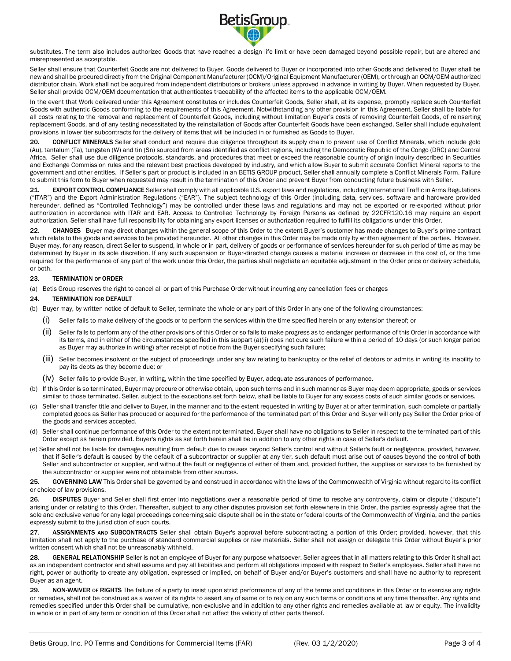

substitutes. The term also includes authorized Goods that have reached a design life limit or have been damaged beyond possible repair, but are altered and misrepresented as acceptable.

Seller shall ensure that Counterfeit Goods are not delivered to Buyer. Goods delivered to Buyer or incorporated into other Goods and delivered to Buyer shall be new and shall be procured directly from the Original Component Manufacturer (OCM)/Original Equipment Manufacturer (OEM), or through an OCM/OEM authorized distributor chain. Work shall not be acquired from independent distributors or brokers unless approved in advance in writing by Buyer. When requested by Buyer, Seller shall provide OCM/OEM documentation that authenticates traceability of the affected items to the applicable OCM/OEM.

In the event that Work delivered under this Agreement constitutes or includes Counterfeit Goods, Seller shall, at its expense, promptly replace such Counterfeit Goods with authentic Goods conforming to the requirements of this Agreement. Notwithstanding any other provision in this Agreement, Seller shall be liable for all costs relating to the removal and replacement of Counterfeit Goods, including without limitation Buyer's costs of removing Counterfeit Goods, of reinserting replacement Goods, and of any testing necessitated by the reinstallation of Goods after Counterfeit Goods have been exchanged. Seller shall include equivalent provisions in lower tier subcontracts for the delivery of items that will be included in or furnished as Goods to Buyer.

20. CONFLICT MINERALS Seller shall conduct and require due diligence throughout its supply chain to prevent use of Conflict Minerals, which include gold (Au), tantalum (Ta), tungsten (W) and tin (Sn) sourced from areas identified as conflict regions, including the Democratic Republic of the Congo (DRC) and Central Africa. Seller shall use due diligence protocols, standards, and procedures that meet or exceed the reasonable country of origin inquiry described in Securities and Exchange Commission rules and the relevant best practices developed by industry, and which allow Buyer to submit accurate Conflict Mineral reports to the government and other entities. If Seller's part or product is included in an BETIS GROUP product, Seller shall annually complete a Conflict Minerals Form. Failure to submit this form to Buyer when requested may result in the termination of this Order and prevent Buyer from conducting future business with Seller.

21. EXPORT CONTROL COMPLIANCE Seller shall comply with all applicable U.S. export laws and regulations, including International Traffic in Arms Regulations ("ITAR") and the Export Administration Regulations ("EAR"). The subject technology of this Order (including data, services, software and hardware provided hereunder, defined as "Controlled Technology") may be controlled under these laws and regulations and may not be exported or re-exported without prior authorization in accordance with ITAR and EAR. Access to Controlled Technology by Foreign Persons as defined by 22CFR120.16 may require an export authorization. Seller shall have full responsibility for obtaining any export licenses or authorization required to fulfill its obligations under this Order.

22. CHANGES Buyer may direct changes within the general scope of this Order to the extent Buyer's customer has made changes to Buyer's prime contract which relate to the goods and services to be provided hereunder. All other changes in this Order may be made only by written agreement of the parties. However, Buyer may, for any reason, direct Seller to suspend, in whole or in part, delivery of goods or performance of services hereunder for such period of time as may be determined by Buyer in its sole discretion. If any such suspension or Buyer-directed change causes a material increase or decrease in the cost of, or the time required for the performance of any part of the work under this Order, the parties shall negotiate an equitable adjustment in the Order price or delivery schedule, or both.

## 23. TERMINATION OF ORDER

(a) Betis Group reserves the right to cancel all or part of this Purchase Order without incurring any cancellation fees or charges

### 24. TERMINATION FOR DEFAULT

- (b) Buyer may, by written notice of default to Seller, terminate the whole or any part of this Order in any one of the following circumstances:
	- (i) Seller fails to make delivery of the goods or to perform the services within the time specified herein or any extension thereof; or
	- (ii) Seller fails to perform any of the other provisions of this Order or so fails to make progress as to endanger performance of this Order in accordance with its terms, and in either of the circumstances specified in this subpart (a)(ii) does not cure such failure within a period of 10 days (or such longer period as Buyer may authorize in writing) after receipt of notice from the Buyer specifying such failure;
	- (iii) Seller becomes insolvent or the subject of proceedings under any law relating to bankruptcy or the relief of debtors or admits in writing its inability to pay its debts as they become due; or
	- (iv) Seller fails to provide Buyer, in writing, within the time specified by Buyer, adequate assurances of performance.
- (b) If this Order is so terminated, Buyer may procure or otherwise obtain, upon such terms and in such manner as Buyer may deem appropriate, goods or services similar to those terminated. Seller, subject to the exceptions set forth below, shall be liable to Buyer for any excess costs of such similar goods or services.
- (c) Seller shall transfer title and deliver to Buyer, in the manner and to the extent requested in writing by Buyer at or after termination, such complete or partially completed goods as Seller has produced or acquired for the performance of the terminated part of this Order and Buyer will only pay Seller the Order price of the goods and services accepted.
- (d) Seller shall continue performance of this Order to the extent not terminated. Buyer shall have no obligations to Seller in respect to the terminated part of this Order except as herein provided. Buyer's rights as set forth herein shall be in addition to any other rights in case of Seller's default.
- (e) Seller shall not be liable for damages resulting from default due to causes beyond Seller's control and without Seller's fault or negligence, provided, however, that if Seller's default is caused by the default of a subcontractor or supplier at any tier, such default must arise out of causes beyond the control of both Seller and subcontractor or supplier, and without the fault or negligence of either of them and, provided further, the supplies or services to be furnished by the subcontractor or supplier were not obtainable from other sources.

25. GOVERNING LAW This Order shall be governed by and construed in accordance with the laws of the Commonwealth of Virginia without regard to its conflict or choice of law provisions.

26. DISPUTES Buyer and Seller shall first enter into negotiations over a reasonable period of time to resolve any controversy, claim or dispute ("dispute") arising under or relating to this Order. Thereafter, subject to any other disputes provision set forth elsewhere in this Order, the parties expressly agree that the sole and exclusive venue for any legal proceedings concerning said dispute shall be in the state or federal courts of the Commonwealth of Virginia, and the parties expressly submit to the jurisdiction of such courts.

27. ASSIGNMENTS AND SUBCONTRACTS Seller shall obtain Buyer's approval before subcontracting a portion of this Order; provided, however, that this limitation shall not apply to the purchase of standard commercial supplies or raw materials. Seller shall not assign or delegate this Order without Buyer's prior written consent which shall not be unreasonably withheld.

28. GENERAL RELATIONSHIP Seller is not an employee of Buyer for any purpose whatsoever. Seller agrees that in all matters relating to this Order it shall act as an independent contractor and shall assume and pay all liabilities and perform all obligations imposed with respect to Seller's employees. Seller shall have no right, power or authority to create any obligation, expressed or implied, on behalf of Buyer and/or Buyer's customers and shall have no authority to represent Buyer as an agent.

29. NON-WAIVER or RIGHTS The failure of a party to insist upon strict performance of any of the terms and conditions in this Order or to exercise any rights or remedies, shall not be construed as a waiver of its rights to assert any of same or to rely on any such terms or conditions at any time thereafter. Any rights and remedies specified under this Order shall be cumulative, non-exclusive and in addition to any other rights and remedies available at law or equity. The invalidity in whole or in part of any term or condition of this Order shall not affect the validity of other parts thereof.